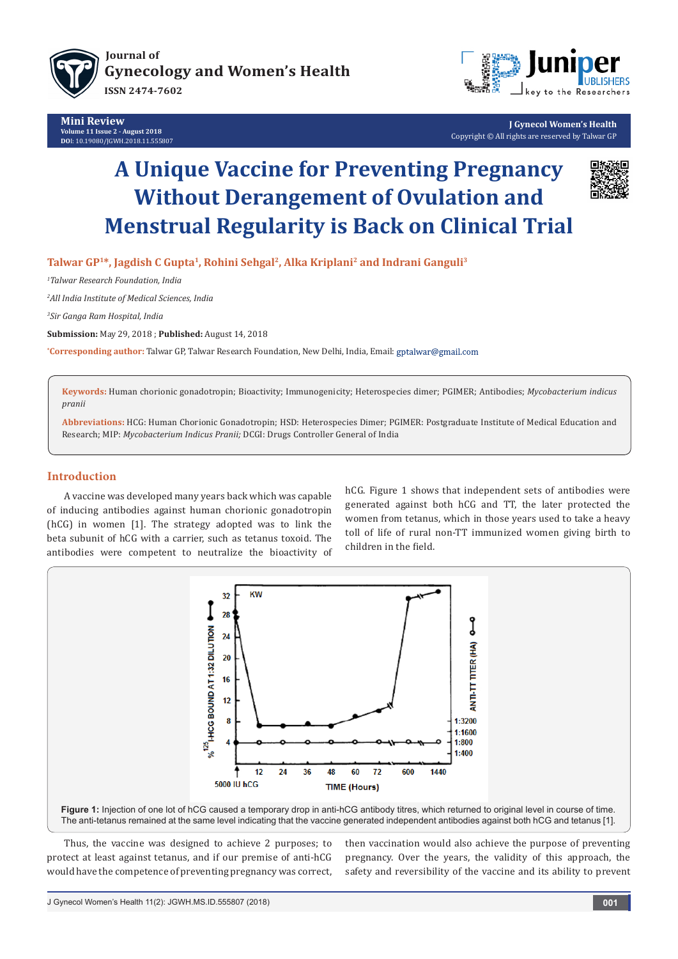

**Mini Review Volume 11 Issue 2 - August 2018 DO**I: [10.19080/JGWH.2018.11.555807](http://dx.doi.org/10.19080/JGWH.2018.11.555807)



**J Gynecol Women's Health** Copyright © All rights are reserved by Talwar GP

# **A Unique Vaccine for Preventing Pregnancy Without Derangement of Ovulation and Menstrual Regularity is Back on Clinical Trial**



**Talwar GP1\*, Jagdish C Gupta1, Rohini Sehgal2, Alka Kriplani2 and Indrani Ganguli3**

*1 Talwar Research Foundation, India* 

*2 All India Institute of Medical Sciences, India*

*3 Sir Ganga Ram Hospital, India*

**Submission:** May 29, 2018 ; **Published:** August 14, 2018

**\* Corresponding author:** Talwar GP, Talwar Research Foundation, New Delhi, India, Email:

**Keywords:** Human chorionic gonadotropin; Bioactivity; Immunogenicity; Heterospecies dimer; PGIMER; Antibodies; *Mycobacterium indicus pranii*

**Abbreviations:** HCG: Human Chorionic Gonadotropin; HSD: Heterospecies Dimer; PGIMER: Postgraduate Institute of Medical Education and Research; MIP: *Mycobacterium Indicus Pranii;* DCGI: Drugs Controller General of India

### **Introduction**

A vaccine was developed many years back which was capable of inducing antibodies against human chorionic gonadotropin (hCG) in women [1]. The strategy adopted was to link the beta subunit of hCG with a carrier, such as tetanus toxoid. The antibodies were competent to neutralize the bioactivity of hCG. Figure 1 shows that independent sets of antibodies were generated against both hCG and TT, the later protected the women from tetanus, which in those years used to take a heavy toll of life of rural non-TT immunized women giving birth to children in the field.



Thus, the vaccine was designed to achieve 2 purposes; to protect at least against tetanus, and if our premise of anti-hCG would have the competence of preventing pregnancy was correct,

then vaccination would also achieve the purpose of preventing pregnancy. Over the years, the validity of this approach, the safety and reversibility of the vaccine and its ability to prevent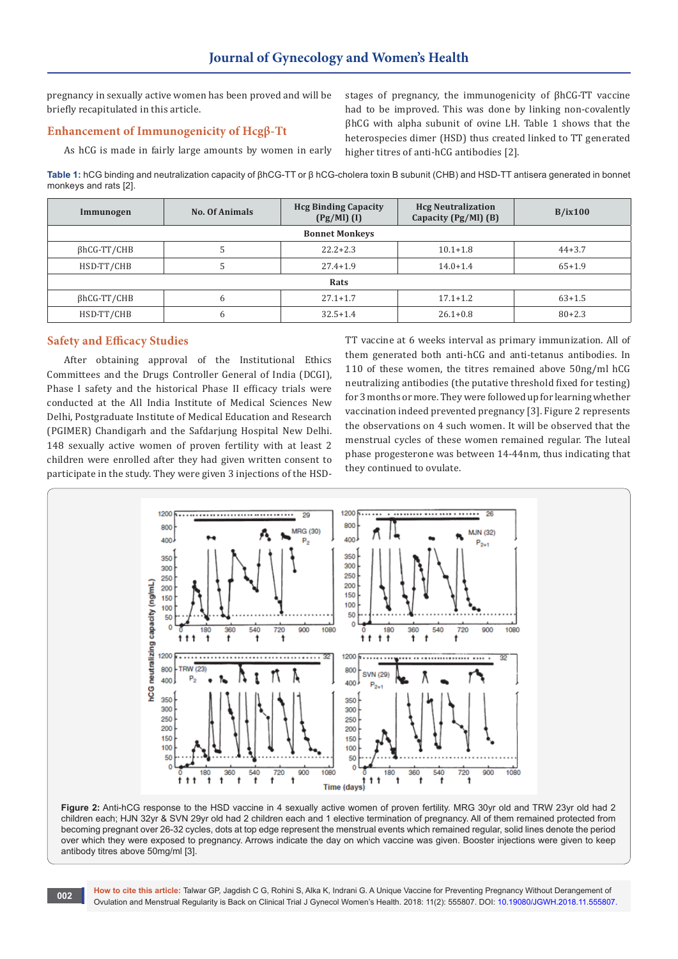pregnancy in sexually active women has been proved and will be briefly recapitulated in this article.

### **Enhancement of Immunogenicity of Hcgβ-Tt**

As hCG is made in fairly large amounts by women in early

stages of pregnancy, the immunogenicity of βhCG-TT vaccine had to be improved. This was done by linking non-covalently βhCG with alpha subunit of ovine LH. Table 1 shows that the heterospecies dimer (HSD) thus created linked to TT generated higher titres of anti-hCG antibodies [2].

**Table 1:** hCG binding and neutralization capacity of βhCG-TT or β hCG-cholera toxin B subunit (CHB) and HSD-TT antisera generated in bonnet monkeys and rats [2].

| Immunogen             | <b>No. Of Animals</b> | <b>Hcg Binding Capacity</b><br>$(Pg/Ml)$ (I) | <b>Hcg Neutralization</b><br>Capacity (Pg/Ml) (B) | B/ix100    |
|-----------------------|-----------------------|----------------------------------------------|---------------------------------------------------|------------|
| <b>Bonnet Monkeys</b> |                       |                                              |                                                   |            |
| $\beta$ hCG-TT/CHB    |                       | $22.2 + 2.3$                                 | $10.1 + 1.8$                                      | $44+3.7$   |
| HSD-TT/CHB            |                       | $27.4 + 1.9$                                 | $14.0 + 1.4$                                      | $65+1.9$   |
| Rats                  |                       |                                              |                                                   |            |
| $\beta$ hCG-TT/CHB    | 6                     | $27.1 + 1.7$                                 | $17.1 + 1.2$                                      | $63+1.5$   |
| HSD-TT/CHB            | 6                     | $32.5 + 1.4$                                 | $26.1 + 0.8$                                      | $80 + 2.3$ |

#### **Safety and Efficacy Studies**

After obtaining approval of the Institutional Ethics Committees and the Drugs Controller General of India (DCGI), Phase I safety and the historical Phase II efficacy trials were conducted at the All India Institute of Medical Sciences New Delhi, Postgraduate Institute of Medical Education and Research (PGIMER) Chandigarh and the Safdarjung Hospital New Delhi. 148 sexually active women of proven fertility with at least 2 children were enrolled after they had given written consent to participate in the study. They were given 3 injections of the HSD-

TT vaccine at 6 weeks interval as primary immunization. All of them generated both anti-hCG and anti-tetanus antibodies. In 110 of these women, the titres remained above 50ng/ml hCG neutralizing antibodies (the putative threshold fixed for testing) for 3 months or more. They were followed up for learning whether vaccination indeed prevented pregnancy [3]. Figure 2 represents the observations on 4 such women. It will be observed that the menstrual cycles of these women remained regular. The luteal phase progesterone was between 14-44nm, thus indicating that they continued to ovulate.





**How to cite this article:** Talwar GP, Jagdish C G, Rohini S, Alka K, Indrani G. A Unique Vaccine for Preventing Pregnancy Without Derangement of Ovulation and Menstrual Regularity is Back on Clinical Trial J Gynecol Women's Health. 2018: 11(2): 555807. DOI: [10.19080/JGWH.2018.11.555807](http://dx.doi.org/10.19080/JGWH.2018.11.555807). **<sup>002</sup>**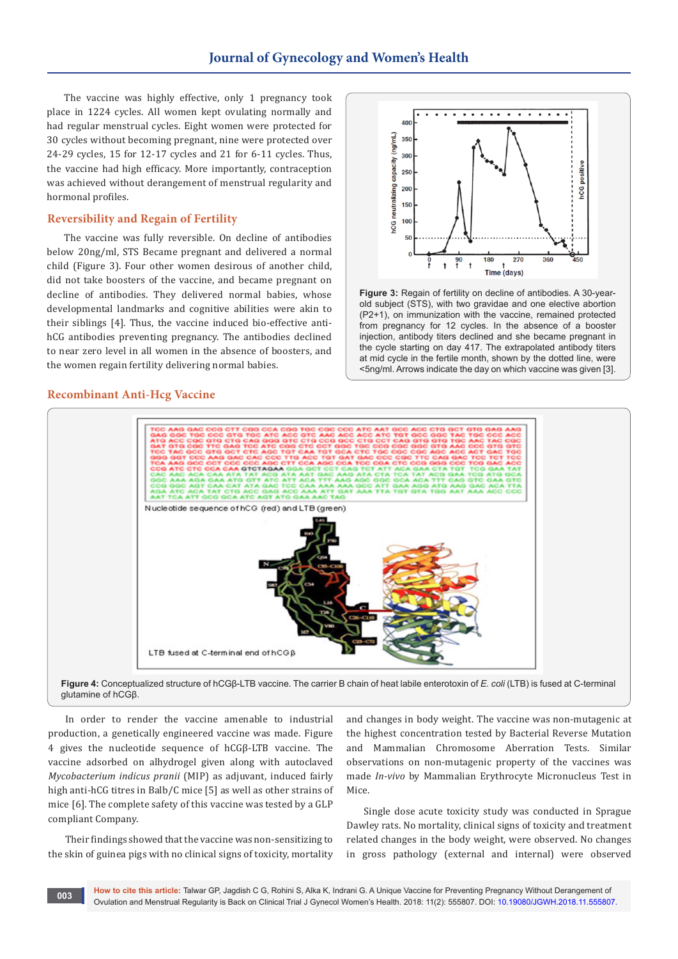The vaccine was highly effective, only 1 pregnancy took place in 1224 cycles. All women kept ovulating normally and had regular menstrual cycles. Eight women were protected for 30 cycles without becoming pregnant, nine were protected over 24-29 cycles, 15 for 12-17 cycles and 21 for 6-11 cycles. Thus, the vaccine had high efficacy. More importantly, contraception was achieved without derangement of menstrual regularity and hormonal profiles.

#### **Reversibility and Regain of Fertility**

The vaccine was fully reversible. On decline of antibodies below 20ng/ml, STS Became pregnant and delivered a normal child (Figure 3). Four other women desirous of another child, did not take boosters of the vaccine, and became pregnant on decline of antibodies. They delivered normal babies, whose developmental landmarks and cognitive abilities were akin to their siblings [4]. Thus, the vaccine induced bio-effective antihCG antibodies preventing pregnancy. The antibodies declined to near zero level in all women in the absence of boosters, and the women regain fertility delivering normal babies.

#### **Recombinant Anti-Hcg Vaccine**



**Figure 3:** Regain of fertility on decline of antibodies. A 30-yearold subject (STS), with two gravidae and one elective abortion (P2+1), on immunization with the vaccine, remained protected from pregnancy for 12 cycles. In the absence of a booster injection, antibody titers declined and she became pregnant in the cycle starting on day 417. The extrapolated antibody titers at mid cycle in the fertile month, shown by the dotted line, were <5ng/ml. Arrows indicate the day on which vaccine was given [3].



In order to render the vaccine amenable to industrial

production, a genetically engineered vaccine was made. Figure 4 gives the nucleotide sequence of hCGβ-LTB vaccine. The vaccine adsorbed on alhydrogel given along with autoclaved *Mycobacterium indicus pranii* (MIP) as adjuvant, induced fairly high anti-hCG titres in Balb/C mice [5] as well as other strains of mice [6]. The complete safety of this vaccine was tested by a GLP compliant Company.

Their findings showed that the vaccine was non-sensitizing to the skin of guinea pigs with no clinical signs of toxicity, mortality

and changes in body weight. The vaccine was non-mutagenic at the highest concentration tested by Bacterial Reverse Mutation and Mammalian Chromosome Aberration Tests. Similar observations on non-mutagenic property of the vaccines was made *In-vivo* by Mammalian Erythrocyte Micronucleus Test in Mice.

Single dose acute toxicity study was conducted in Sprague Dawley rats. No mortality, clinical signs of toxicity and treatment related changes in the body weight, were observed. No changes in gross pathology (external and internal) were observed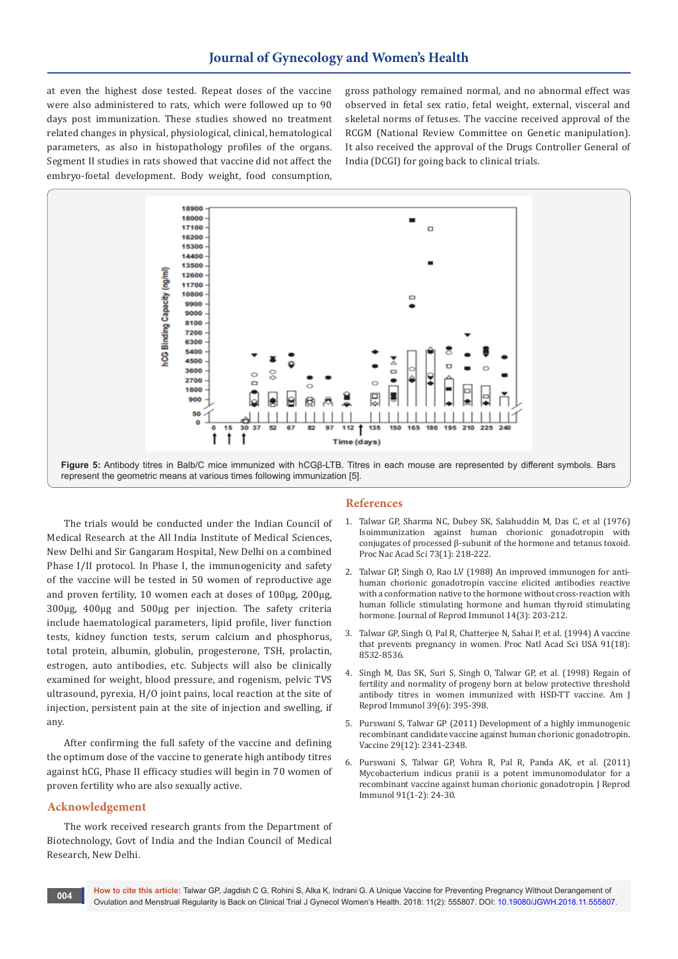at even the highest dose tested. Repeat doses of the vaccine were also administered to rats, which were followed up to 90 days post immunization. These studies showed no treatment related changes in physical, physiological, clinical, hematological parameters, as also in histopathology profiles of the organs. Segment II studies in rats showed that vaccine did not affect the embryo-foetal development. Body weight, food consumption,

gross pathology remained normal, and no abnormal effect was observed in fetal sex ratio, fetal weight, external, visceral and skeletal norms of fetuses. The vaccine received approval of the RCGM (National Review Committee on Genetic manipulation). It also received the approval of the Drugs Controller General of India (DCGI) for going back to clinical trials.



The trials would be conducted under the Indian Council of Medical Research at the All India Institute of Medical Sciences, New Delhi and Sir Gangaram Hospital, New Delhi on a combined Phase I/II protocol. In Phase I, the immunogenicity and safety of the vaccine will be tested in 50 women of reproductive age and proven fertility, 10 women each at doses of 100µg, 200µg, 300µg, 400µg and 500µg per injection. The safety criteria include haematological parameters, lipid profile, liver function tests, kidney function tests, serum calcium and phosphorus, total protein, albumin, globulin, progesterone, TSH, prolactin, estrogen, auto antibodies, etc. Subjects will also be clinically examined for weight, blood pressure, and rogenism, pelvic TVS ultrasound, pyrexia, H/O joint pains, local reaction at the site of injection, persistent pain at the site of injection and swelling, if any.

After confirming the full safety of the vaccine and defining the optimum dose of the vaccine to generate high antibody titres against hCG, Phase II efficacy studies will begin in 70 women of proven fertility who are also sexually active.

#### **Acknowledgement**

The work received research grants from the Department of Biotechnology, Govt of India and the Indian Council of Medical Research, New Delhi.

#### **References**

- 1. [Talwar GP, Sharma NC, Dubey SK, Salahuddin M, Das C, et al \(1976\)](https://www.ncbi.nlm.nih.gov/pubmed/813223)  [Isoimmunization against human chorionic gonadotropin with](https://www.ncbi.nlm.nih.gov/pubmed/813223)  [conjugates of processed β-subunit of the hormone and tetanus toxoid.](https://www.ncbi.nlm.nih.gov/pubmed/813223)  [Proc Nac Acad Sci 73\(1\): 218-222.](https://www.ncbi.nlm.nih.gov/pubmed/813223)
- 2. [Talwar GP, Singh O, Rao LV \(1988\) An improved immunogen for anti](https://www.ncbi.nlm.nih.gov/pubmed/3147333)[human chorionic gonadotropin vaccine elicited antibodies reactive](https://www.ncbi.nlm.nih.gov/pubmed/3147333)  [with a conformation native to the hormone without cross-reaction with](https://www.ncbi.nlm.nih.gov/pubmed/3147333)  [human follicle stimulating hormone and human thyroid stimulating](https://www.ncbi.nlm.nih.gov/pubmed/3147333)  [hormone. Journal of Reprod Immunol 14\(3\): 203-212.](https://www.ncbi.nlm.nih.gov/pubmed/3147333)
- 3. [Talwar GP, Singh O, Pal R, Chatterjee N, Sahai P, et al. \(1994\) A vaccine](https://www.ncbi.nlm.nih.gov/pmc/articles/PMC44640/)  [that prevents pregnancy in women. Proc Natl Acad Sci USA 91\(18\):](https://www.ncbi.nlm.nih.gov/pmc/articles/PMC44640/)  [8532-8536.](https://www.ncbi.nlm.nih.gov/pmc/articles/PMC44640/)
- 4. [Singh M, Das SK, Suri S, Singh O, Talwar GP, et al. \(1998\) Regain of](https://onlinelibrary.wiley.com/doi/pdf/10.1111/j.1600-0897.1998.tb00376.x)  [fertility and normality of progeny born at below protective threshold](https://onlinelibrary.wiley.com/doi/pdf/10.1111/j.1600-0897.1998.tb00376.x)  [antibody titres in women immunized with HSD-TT vaccine. Am J](https://onlinelibrary.wiley.com/doi/pdf/10.1111/j.1600-0897.1998.tb00376.x)  [Reprod Immunol 39\(6\): 395-398.](https://onlinelibrary.wiley.com/doi/pdf/10.1111/j.1600-0897.1998.tb00376.x)
- 5. [Purswani S, Talwar GP \(2011\) Development of a highly immunogenic](https://www.ncbi.nlm.nih.gov/pubmed/21272600)  [recombinant candidate vaccine against human chorionic gonadotropin.](https://www.ncbi.nlm.nih.gov/pubmed/21272600)  [Vaccine 29\(12\): 2341-2348.](https://www.ncbi.nlm.nih.gov/pubmed/21272600)
- 6. [Purswani S, Talwar GP, Vohra R, Pal R, Panda AK, et al. \(2011\)](https://www.ncbi.nlm.nih.gov/pubmed/21885129)  [Mycobacterium indicus pranii is a potent immunomodulator for a](https://www.ncbi.nlm.nih.gov/pubmed/21885129)  [recombinant vaccine against human chorionic gonadotropin. J Reprod](https://www.ncbi.nlm.nih.gov/pubmed/21885129)  [Immunol 91\(1-2\): 24-30.](https://www.ncbi.nlm.nih.gov/pubmed/21885129)